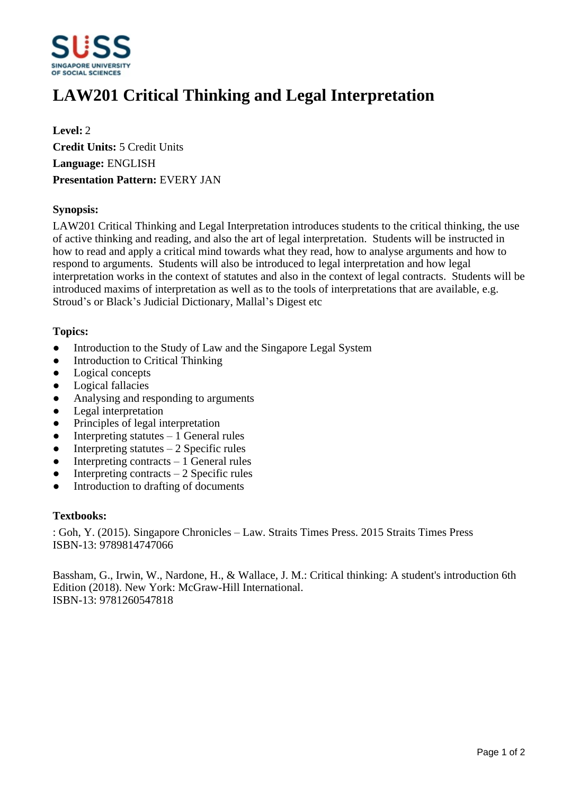

# **LAW201 Critical Thinking and Legal Interpretation**

**Level:** 2 **Credit Units:** 5 Credit Units **Language:** ENGLISH **Presentation Pattern:** EVERY JAN

### **Synopsis:**

LAW201 Critical Thinking and Legal Interpretation introduces students to the critical thinking, the use of active thinking and reading, and also the art of legal interpretation. Students will be instructed in how to read and apply a critical mind towards what they read, how to analyse arguments and how to respond to arguments. Students will also be introduced to legal interpretation and how legal interpretation works in the context of statutes and also in the context of legal contracts. Students will be introduced maxims of interpretation as well as to the tools of interpretations that are available, e.g. Stroud's or Black's Judicial Dictionary, Mallal's Digest etc

#### **Topics:**

- Introduction to the Study of Law and the Singapore Legal System
- Introduction to Critical Thinking
- Logical concepts
- Logical fallacies
- Analysing and responding to arguments
- Legal interpretation
- Principles of legal interpretation
- Interpreting statutes  $-1$  General rules
- $\bullet$  Interpreting statutes  $-2$  Specific rules
- $\bullet$  Interpreting contracts  $-1$  General rules
- $\bullet$  Interpreting contracts  $-2$  Specific rules
- Introduction to drafting of documents

#### **Textbooks:**

: Goh, Y. (2015). Singapore Chronicles - Law. Straits Times Press. 2015 Straits Times Press ISBN-13: 9789814747066

Bassham, G., Irwin, W., Nardone, H., & Wallace, J. M.: Critical thinking: A student's introduction 6th Edition (2018). New York: McGraw-Hill International. ISBN-13: 9781260547818